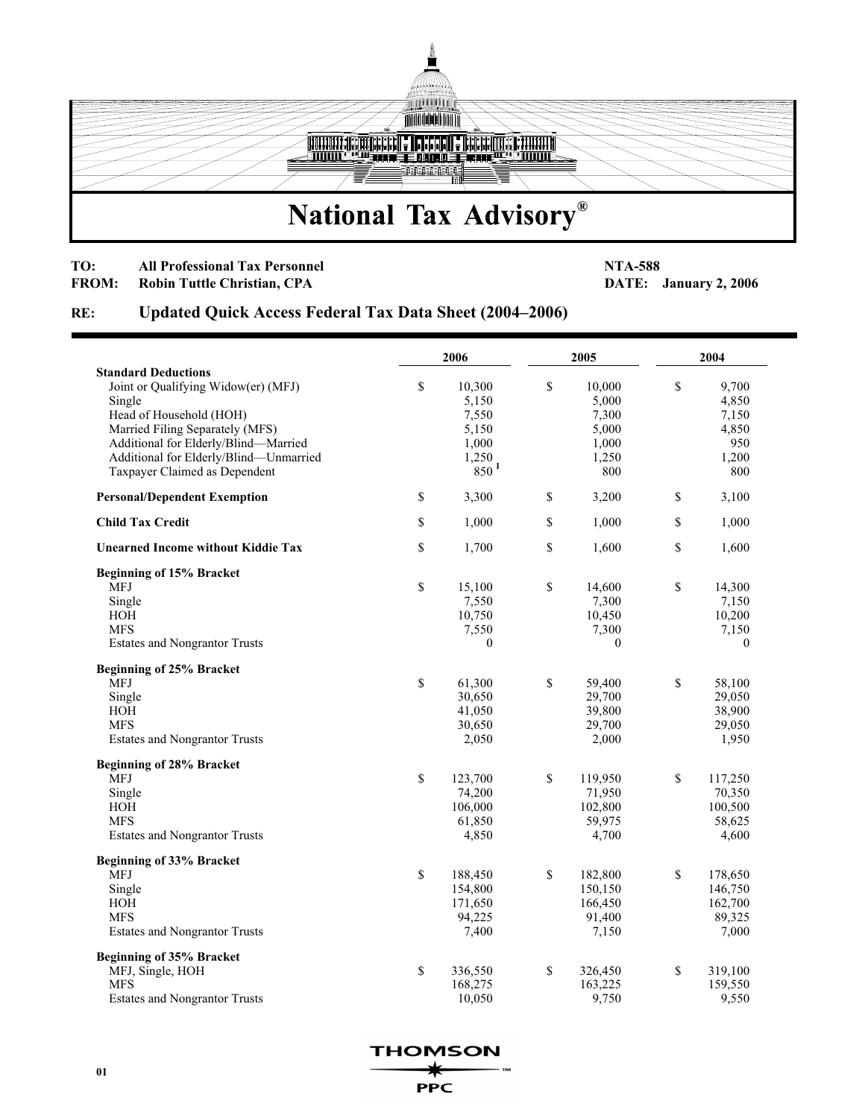

## **TO:** All Professional Tax Personnel **NTA-588 RROM:** Robin Tuttle Christian, CPA **DATE:**

**FROM:** January 2, 2006

## **RE: Updated Quick Access Federal Tax Data Sheet (2004–2006)**

|                                           | 2006 |                  | 2005         |                  | 2004        |                  |
|-------------------------------------------|------|------------------|--------------|------------------|-------------|------------------|
| <b>Standard Deductions</b>                |      |                  |              |                  |             |                  |
| Joint or Qualifying Widow(er) (MFJ)       | \$   | 10,300           | \$           | 10,000           | \$          | 9,700            |
| Single                                    |      | 5,150            |              | 5,000            |             | 4,850            |
| Head of Household (HOH)                   |      | 7,550            |              | 7,300            |             | 7,150            |
| Married Filing Separately (MFS)           |      | 5,150            |              | 5,000            |             | 4,850            |
| Additional for Elderly/Blind-Married      |      | 1,000            |              | 1,000            |             | 950              |
| Additional for Elderly/Blind-Unmarried    |      | 1,250            |              | 1,250            |             | 1,200            |
| Taxpayer Claimed as Dependent             |      | 850 <sup>1</sup> |              | 800              |             | 800              |
| <b>Personal/Dependent Exemption</b>       | \$   | 3,300            | \$           | 3,200            | \$          | 3,100            |
| <b>Child Tax Credit</b>                   | \$   | 1,000            | $\mathbb{S}$ | 1,000            | \$          | 1,000            |
| <b>Unearned Income without Kiddie Tax</b> | \$   | 1,700            | $\mathbb{S}$ | 1,600            | \$          | 1,600            |
| Beginning of 15% Bracket                  |      |                  |              |                  |             |                  |
| MFJ                                       | \$   | 15,100           | \$           | 14,600           | \$          | 14,300           |
| Single                                    |      | 7,550            |              | 7,300            |             | 7,150            |
| HOH                                       |      | 10,750           |              | 10,450           |             | 10,200           |
| <b>MFS</b>                                |      | 7,550            |              | 7,300            |             | 7,150            |
| <b>Estates and Nongrantor Trusts</b>      |      | $\bf{0}$         |              | $\boldsymbol{0}$ |             | $\boldsymbol{0}$ |
| <b>Beginning of 25% Bracket</b>           |      |                  |              |                  |             |                  |
| <b>MFJ</b>                                | \$   | 61,300           | \$           | 59,400           | \$          | 58,100           |
| Single                                    |      | 30,650           |              | 29,700           |             | 29,050           |
| HOH                                       |      | 41,050           |              | 39,800           |             | 38,900           |
| <b>MFS</b>                                |      | 30,650           |              | 29,700           |             | 29,050           |
| <b>Estates and Nongrantor Trusts</b>      |      | 2,050            |              | 2,000            |             | 1,950            |
| <b>Beginning of 28% Bracket</b>           |      |                  |              |                  |             |                  |
| MFJ                                       | \$   | 123,700          | $\mathbb{S}$ | 119,950          | $\mathbb S$ | 117,250          |
| Single                                    |      | 74,200           |              | 71,950           |             | 70,350           |
| HOH                                       |      | 106,000          |              | 102,800          |             | 100,500          |
| <b>MFS</b>                                |      | 61,850           |              | 59,975           |             | 58,625           |
| <b>Estates and Nongrantor Trusts</b>      |      | 4,850            |              | 4,700            |             | 4,600            |
| <b>Beginning of 33% Bracket</b>           |      |                  |              |                  |             |                  |
| <b>MFJ</b>                                | \$   | 188,450          | $\mathbb{S}$ | 182,800          | \$          | 178,650          |
| Single                                    |      | 154,800          |              | 150,150          |             | 146,750          |
| HOH                                       |      | 171,650          |              | 166,450          |             | 162,700          |
| <b>MFS</b>                                |      | 94,225           |              | 91,400           |             | 89,325           |
| <b>Estates and Nongrantor Trusts</b>      |      | 7,400            |              | 7,150            |             | 7,000            |
| Beginning of 35% Bracket                  |      |                  |              |                  |             |                  |
| MFJ, Single, HOH                          | \$   | 336,550          | \$           | 326,450          | \$          | 319,100          |
| <b>MFS</b>                                |      | 168,275          |              | 163,225          |             | 159,550          |
| <b>Estates and Nongrantor Trusts</b>      |      | 10,050           |              | 9,750            |             | 9,550            |